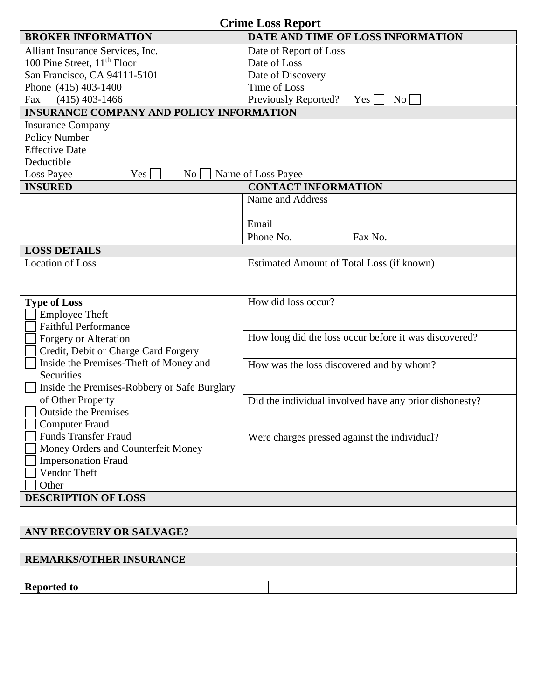| <b>Crime Loss Report</b>                                                   |                                                        |  |
|----------------------------------------------------------------------------|--------------------------------------------------------|--|
| <b>BROKER INFORMATION</b>                                                  | DATE AND TIME OF LOSS INFORMATION                      |  |
| Alliant Insurance Services, Inc.                                           | Date of Report of Loss                                 |  |
| 100 Pine Street, 11 <sup>th</sup> Floor                                    | Date of Loss                                           |  |
| San Francisco, CA 94111-5101                                               | Date of Discovery                                      |  |
| Phone (415) 403-1400                                                       | Time of Loss                                           |  |
| $(415)$ 403-1466<br>Fax<br><b>INSURANCE COMPANY AND POLICY INFORMATION</b> | Previously Reported?<br>No.<br>Yes                     |  |
| <b>Insurance Company</b>                                                   |                                                        |  |
| Policy Number                                                              |                                                        |  |
| <b>Effective Date</b>                                                      |                                                        |  |
| Deductible                                                                 |                                                        |  |
| Loss Payee<br>Yes<br>$\rm No$                                              | Name of Loss Payee                                     |  |
| <b>INSURED</b>                                                             | <b>CONTACT INFORMATION</b>                             |  |
|                                                                            | Name and Address                                       |  |
|                                                                            |                                                        |  |
|                                                                            | Email                                                  |  |
|                                                                            | Phone No.<br>Fax No.                                   |  |
| <b>LOSS DETAILS</b>                                                        |                                                        |  |
| <b>Location of Loss</b>                                                    | Estimated Amount of Total Loss (if known)              |  |
|                                                                            |                                                        |  |
| <b>Type of Loss</b>                                                        | How did loss occur?                                    |  |
| <b>Employee Theft</b>                                                      |                                                        |  |
| <b>Faithful Performance</b>                                                |                                                        |  |
| Forgery or Alteration                                                      | How long did the loss occur before it was discovered?  |  |
| Credit, Debit or Charge Card Forgery                                       |                                                        |  |
| Inside the Premises-Theft of Money and                                     | How was the loss discovered and by whom?               |  |
| Securities                                                                 |                                                        |  |
| Inside the Premises-Robbery or Safe Burglary                               |                                                        |  |
| of Other Property                                                          | Did the individual involved have any prior dishonesty? |  |
| $\Box$ Outside the Premises<br><b>Computer Fraud</b>                       |                                                        |  |
| <b>Funds Transfer Fraud</b>                                                | Were charges pressed against the individual?           |  |
| Money Orders and Counterfeit Money                                         |                                                        |  |
| <b>Impersonation Fraud</b>                                                 |                                                        |  |
| Vendor Theft                                                               |                                                        |  |
| Other                                                                      |                                                        |  |
| <b>DESCRIPTION OF LOSS</b>                                                 |                                                        |  |
|                                                                            |                                                        |  |
| ANY RECOVERY OR SALVAGE?                                                   |                                                        |  |
|                                                                            |                                                        |  |
| <b>REMARKS/OTHER INSURANCE</b>                                             |                                                        |  |
|                                                                            |                                                        |  |
| <b>Reported to</b>                                                         |                                                        |  |